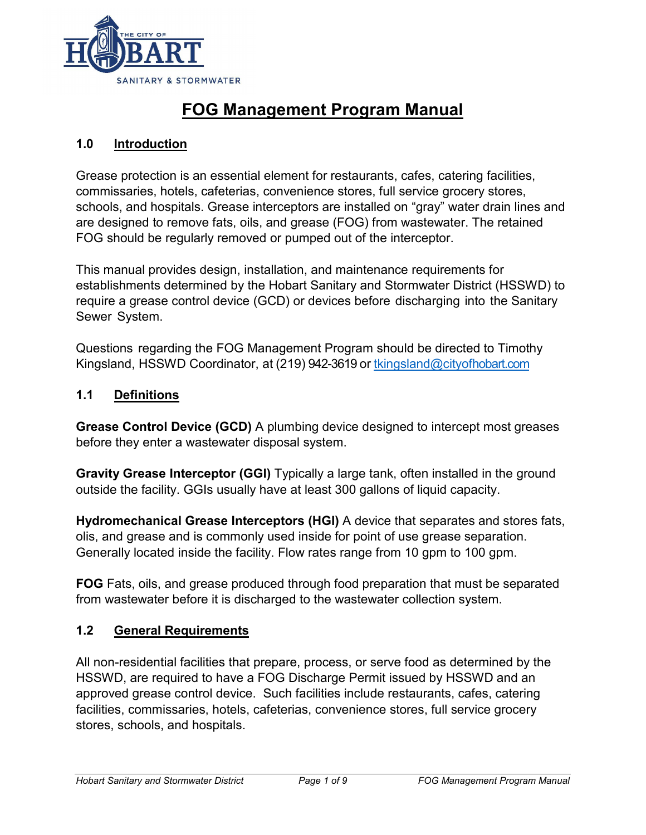

## **FOG Management Program Manual**

#### **1.0 Introduction**

Grease protection is an essential element for restaurants, cafes, catering facilities, commissaries, hotels, cafeterias, convenience stores, full service grocery stores, schools, and hospitals. Grease interceptors are installed on "gray" water drain lines and are designed to remove fats, oils, and grease (FOG) from wastewater. The retained FOG should be regularly removed or pumped out of the interceptor.

This manual provides design, installation, and maintenance requirements for establishments determined by the Hobart Sanitary and Stormwater District (HSSWD) to require a grease control device (GCD) or devices before discharging into the Sanitary Sewer System.

Questions regarding the FOG Management Program should be directed to Timothy Kingsland, HSSWD Coordinator, at (219) 942-3619 or [tkingsland@cityofhobart.com](mailto:tkingsland@cityofhobart.com)

#### **1.1 Definitions**

**Grease Control Device (GCD)** A plumbing device designed to intercept most greases before they enter a wastewater disposal system.

**Gravity Grease Interceptor (GGI)** Typically a large tank, often installed in the ground outside the facility. GGIs usually have at least 300 gallons of liquid capacity.

**Hydromechanical Grease Interceptors (HGI)** A device that separates and stores fats, olis, and grease and is commonly used inside for point of use grease separation. Generally located inside the facility. Flow rates range from 10 gpm to 100 gpm.

**FOG** Fats, oils, and grease produced through food preparation that must be separated from wastewater before it is discharged to the wastewater collection system.

#### **1.2 General Requirements**

All non-residential facilities that prepare, process, or serve food as determined by the HSSWD, are required to have a FOG Discharge Permit issued by HSSWD and an approved grease control device. Such facilities include restaurants, cafes, catering facilities, commissaries, hotels, cafeterias, convenience stores, full service grocery stores, schools, and hospitals.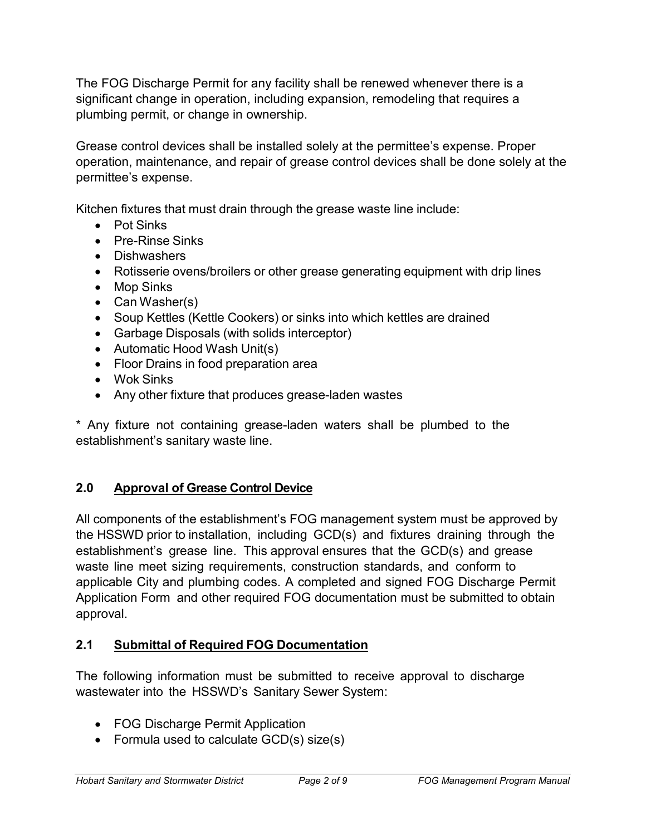The FOG Discharge Permit for any facility shall be renewed whenever there is a significant change in operation, including expansion, remodeling that requires a plumbing permit, or change in ownership.

Grease control devices shall be installed solely at the permittee's expense. Proper operation, maintenance, and repair of grease control devices shall be done solely at the permittee's expense.

Kitchen fixtures that must drain through the grease waste line include:

- Pot Sinks
- Pre-Rinse Sinks
- Dishwashers
- Rotisserie ovens/broilers or other grease generating equipment with drip lines
- Mop Sinks
- Can Washer(s)
- Soup Kettles (Kettle Cookers) or sinks into which kettles are drained
- Garbage Disposals (with solids interceptor)
- Automatic Hood Wash Unit(s)
- Floor Drains in food preparation area
- Wok Sinks
- Any other fixture that produces grease-laden wastes

\* Any fixture not containing grease-laden waters shall be plumbed to the establishment's sanitary waste line.

#### **2.0 Approval of Grease Control Device**

All components of the establishment's FOG management system must be approved by the HSSWD prior to installation, including GCD(s) and fixtures draining through the establishment's grease line. This approval ensures that the GCD(s) and grease waste line meet sizing requirements, construction standards, and conform to applicable City and plumbing codes. A completed and signed FOG Discharge Permit Application Form and other required FOG documentation must be submitted to obtain approval.

#### **2.1 Submittal of Required FOG Documentation**

The following information must be submitted to receive approval to discharge wastewater into the HSSWD's Sanitary Sewer System:

- FOG Discharge Permit Application
- Formula used to calculate GCD(s) size(s)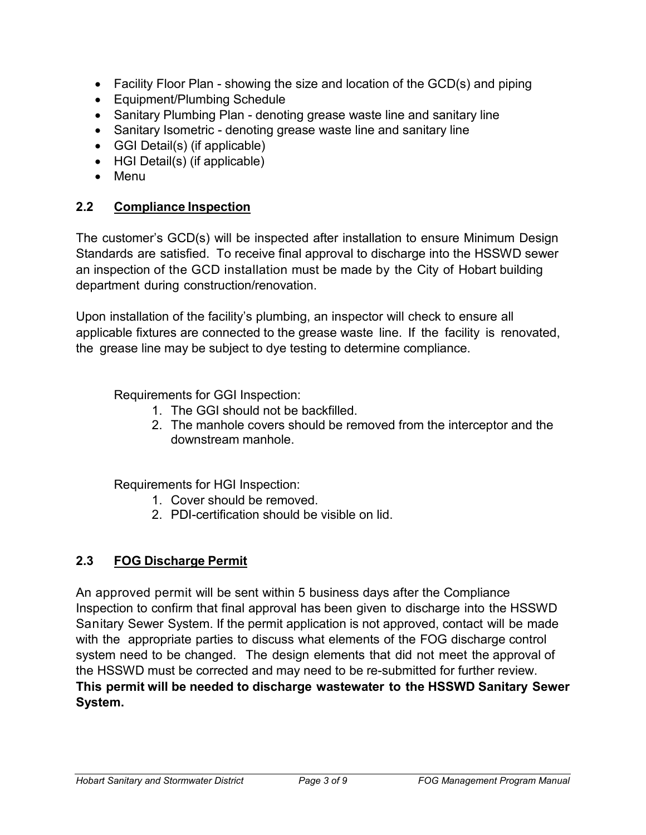- Facility Floor Plan showing the size and location of the GCD(s) and piping
- Equipment/Plumbing Schedule
- Sanitary Plumbing Plan denoting grease waste line and sanitary line
- Sanitary Isometric denoting grease waste line and sanitary line
- GGI Detail(s) (if applicable)
- HGI Detail(s) (if applicable)
- Menu

#### **2.2 Compliance Inspection**

The customer's GCD(s) will be inspected after installation to ensure Minimum Design Standards are satisfied. To receive final approval to discharge into the HSSWD sewer an inspection of the GCD installation must be made by the City of Hobart building department during construction/renovation.

Upon installation of the facility's plumbing, an inspector will check to ensure all applicable fixtures are connected to the grease waste line. If the facility is renovated, the grease line may be subject to dye testing to determine compliance.

Requirements for GGI Inspection:

- 1. The GGI should not be backfilled.
- 2. The manhole covers should be removed from the interceptor and the downstream manhole.

Requirements for HGI Inspection:

- 1. Cover should be removed.
- 2. PDI-certification should be visible on lid.

## **2.3 FOG Discharge Permit**

An approved permit will be sent within 5 business days after the Compliance Inspection to confirm that final approval has been given to discharge into the HSSWD Sanitary Sewer System. If the permit application is not approved, contact will be made with the appropriate parties to discuss what elements of the FOG discharge control system need to be changed. The design elements that did not meet the approval of the HSSWD must be corrected and may need to be re-submitted for further review. **This permit will be needed to discharge wastewater to the HSSWD Sanitary Sewer System.**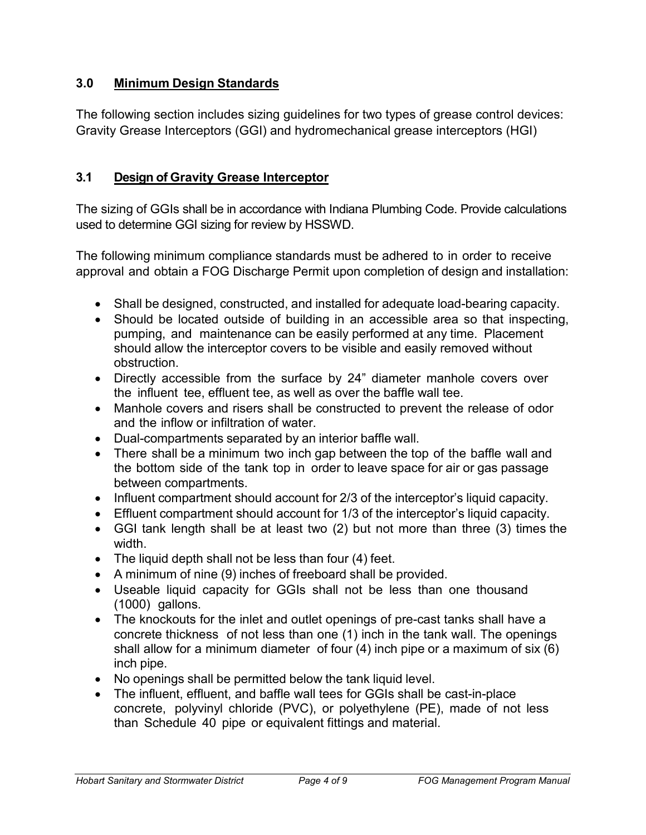#### **3.0 Minimum Design Standards**

The following section includes sizing guidelines for two types of grease control devices: Gravity Grease Interceptors (GGI) and hydromechanical grease interceptors (HGI)

#### **3.1 Design of Gravity Grease Interceptor**

The sizing of GGIs shall be in accordance with Indiana Plumbing Code. Provide calculations used to determine GGI sizing for review by HSSWD.

The following minimum compliance standards must be adhered to in order to receive approval and obtain a FOG Discharge Permit upon completion of design and installation:

- Shall be designed, constructed, and installed for adequate load-bearing capacity.
- Should be located outside of building in an accessible area so that inspecting, pumping, and maintenance can be easily performed at any time. Placement should allow the interceptor covers to be visible and easily removed without obstruction.
- Directly accessible from the surface by 24" diameter manhole covers over the influent tee, effluent tee, as well as over the baffle wall tee.
- Manhole covers and risers shall be constructed to prevent the release of odor and the inflow or infiltration of water.
- Dual-compartments separated by an interior baffle wall.
- There shall be a minimum two inch gap between the top of the baffle wall and the bottom side of the tank top in order to leave space for air or gas passage between compartments.
- Influent compartment should account for 2/3 of the interceptor's liquid capacity.
- Effluent compartment should account for 1/3 of the interceptor's liquid capacity.
- GGI tank length shall be at least two (2) but not more than three (3) times the width.
- The liquid depth shall not be less than four (4) feet.
- A minimum of nine (9) inches of freeboard shall be provided.
- Useable liquid capacity for GGIs shall not be less than one thousand (1000) gallons.
- The knockouts for the inlet and outlet openings of pre-cast tanks shall have a concrete thickness of not less than one (1) inch in the tank wall. The openings shall allow for a minimum diameter of four (4) inch pipe or a maximum of six (6) inch pipe.
- No openings shall be permitted below the tank liquid level.
- The influent, effluent, and baffle wall tees for GGIs shall be cast-in-place concrete, polyvinyl chloride (PVC), or polyethylene (PE), made of not less than Schedule 40 pipe or equivalent fittings and material.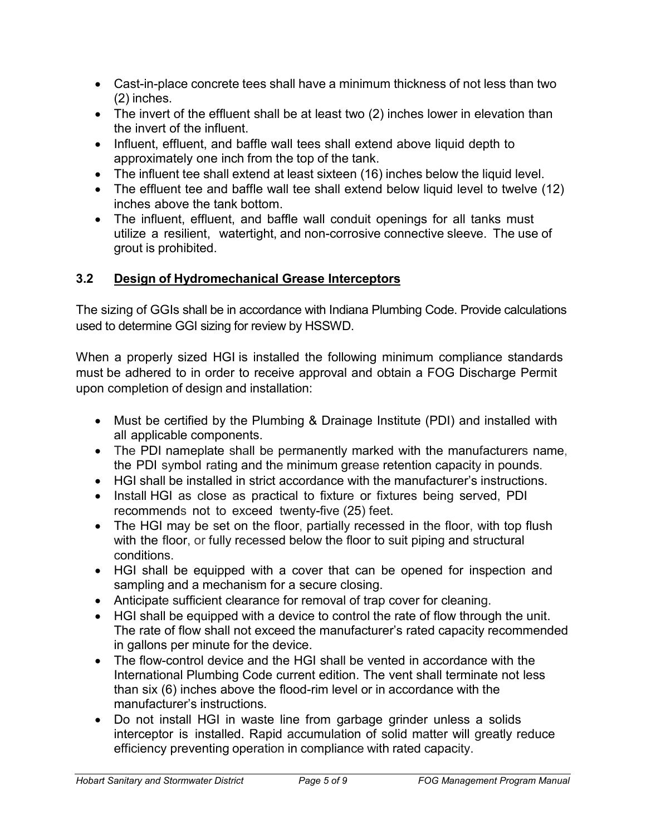- Cast-in-place concrete tees shall have a minimum thickness of not less than two (2) inches.
- The invert of the effluent shall be at least two (2) inches lower in elevation than the invert of the influent.
- Influent, effluent, and baffle wall tees shall extend above liquid depth to approximately one inch from the top of the tank.
- The influent tee shall extend at least sixteen (16) inches below the liquid level.
- The effluent tee and baffle wall tee shall extend below liquid level to twelve (12) inches above the tank bottom.
- The influent, effluent, and baffle wall conduit openings for all tanks must utilize a resilient, watertight, and non-corrosive connective sleeve. The use of grout is prohibited.

### **3.2 Design of Hydromechanical Grease Interceptors**

The sizing of GGIs shall be in accordance with Indiana Plumbing Code. Provide calculations used to determine GGI sizing for review by HSSWD.

When a properly sized HGI is installed the following minimum compliance standards must be adhered to in order to receive approval and obtain a FOG Discharge Permit upon completion of design and installation:

- Must be certified by the Plumbing & Drainage Institute (PDI) and installed with all applicable components.
- The PDI nameplate shall be permanently marked with the manufacturers name, the PDI symbol rating and the minimum grease retention capacity in pounds.
- HGI shall be installed in strict accordance with the manufacturer's instructions.
- Install HGI as close as practical to fixture or fixtures being served, PDI recommends not to exceed twenty-five (25) feet.
- The HGI may be set on the floor, partially recessed in the floor, with top flush with the floor, or fully recessed below the floor to suit piping and structural conditions.
- HGI shall be equipped with a cover that can be opened for inspection and sampling and a mechanism for a secure closing.
- Anticipate sufficient clearance for removal of trap cover for cleaning.
- HGI shall be equipped with a device to control the rate of flow through the unit. The rate of flow shall not exceed the manufacturer's rated capacity recommended in gallons per minute for the device.
- The flow-control device and the HGI shall be vented in accordance with the International Plumbing Code current edition. The vent shall terminate not less than six (6) inches above the flood-rim level or in accordance with the manufacturer's instructions.
- Do not install HGI in waste line from garbage grinder unless a solids interceptor is installed. Rapid accumulation of solid matter will greatly reduce efficiency preventing operation in compliance with rated capacity.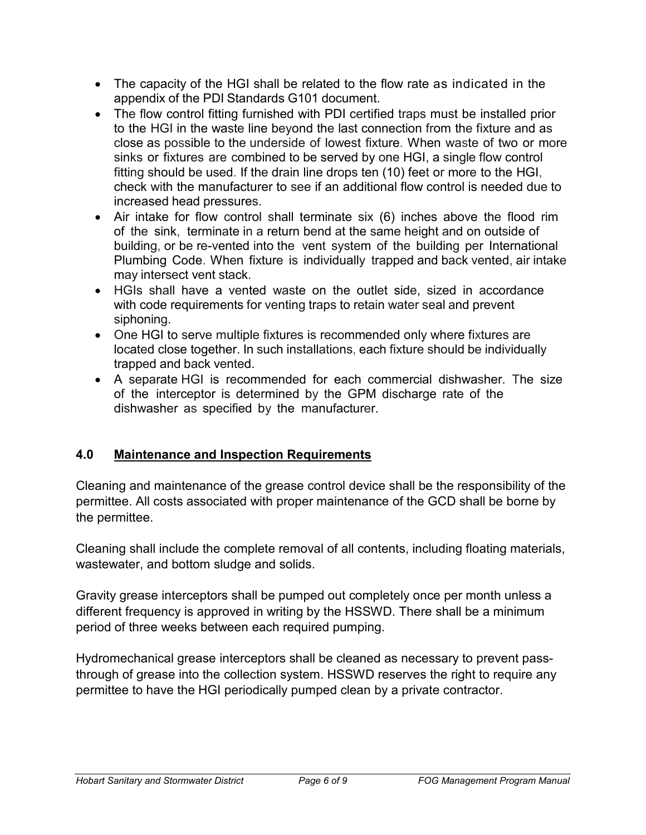- The capacity of the HGI shall be related to the flow rate as indicated in the appendix of the PDI Standards G101 document.
- The flow control fitting furnished with PDI certified traps must be installed prior to the HGI in the waste line beyond the last connection from the fixture and as close as possible to the underside of lowest fixture. When waste of two or more sinks or fixtures are combined to be served by one HGI, a single flow control fitting should be used. If the drain line drops ten (10) feet or more to the HGI, check with the manufacturer to see if an additional flow control is needed due to increased head pressures.
- Air intake for flow control shall terminate six (6) inches above the flood rim of the sink, terminate in a return bend at the same height and on outside of building, or be re-vented into the vent system of the building per International Plumbing Code. When fixture is individually trapped and back vented, air intake may intersect vent stack.
- HGIs shall have a vented waste on the outlet side, sized in accordance with code requirements for venting traps to retain water seal and prevent siphoning.
- One HGI to serve multiple fixtures is recommended only where fixtures are located close together. In such installations, each fixture should be individually trapped and back vented.
- A separate HGI is recommended for each commercial dishwasher. The size of the interceptor is determined by the GPM discharge rate of the dishwasher as specified by the manufacturer.

## **4.0 Maintenance and Inspection Requirements**

Cleaning and maintenance of the grease control device shall be the responsibility of the permittee. All costs associated with proper maintenance of the GCD shall be borne by the permittee.

Cleaning shall include the complete removal of all contents, including floating materials, wastewater, and bottom sludge and solids.

Gravity grease interceptors shall be pumped out completely once per month unless a different frequency is approved in writing by the HSSWD. There shall be a minimum period of three weeks between each required pumping.

Hydromechanical grease interceptors shall be cleaned as necessary to prevent passthrough of grease into the collection system. HSSWD reserves the right to require any permittee to have the HGI periodically pumped clean by a private contractor.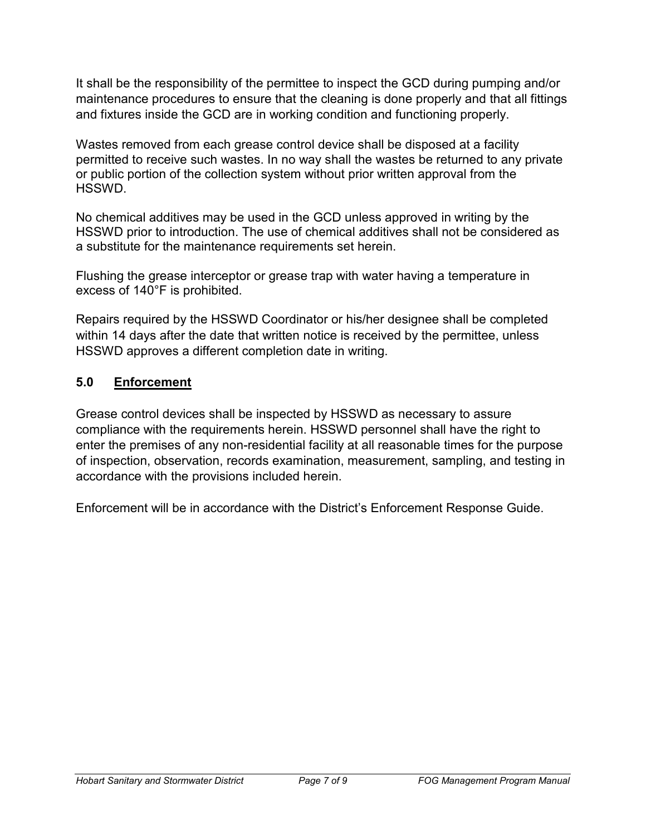It shall be the responsibility of the permittee to inspect the GCD during pumping and/or maintenance procedures to ensure that the cleaning is done properly and that all fittings and fixtures inside the GCD are in working condition and functioning properly.

Wastes removed from each grease control device shall be disposed at a facility permitted to receive such wastes. In no way shall the wastes be returned to any private or public portion of the collection system without prior written approval from the HSSWD.

No chemical additives may be used in the GCD unless approved in writing by the HSSWD prior to introduction. The use of chemical additives shall not be considered as a substitute for the maintenance requirements set herein.

Flushing the grease interceptor or grease trap with water having a temperature in excess of 140°F is prohibited.

Repairs required by the HSSWD Coordinator or his/her designee shall be completed within 14 days after the date that written notice is received by the permittee, unless HSSWD approves a different completion date in writing.

#### **5.0 Enforcement**

Grease control devices shall be inspected by HSSWD as necessary to assure compliance with the requirements herein. HSSWD personnel shall have the right to enter the premises of any non-residential facility at all reasonable times for the purpose of inspection, observation, records examination, measurement, sampling, and testing in accordance with the provisions included herein.

Enforcement will be in accordance with the District's Enforcement Response Guide.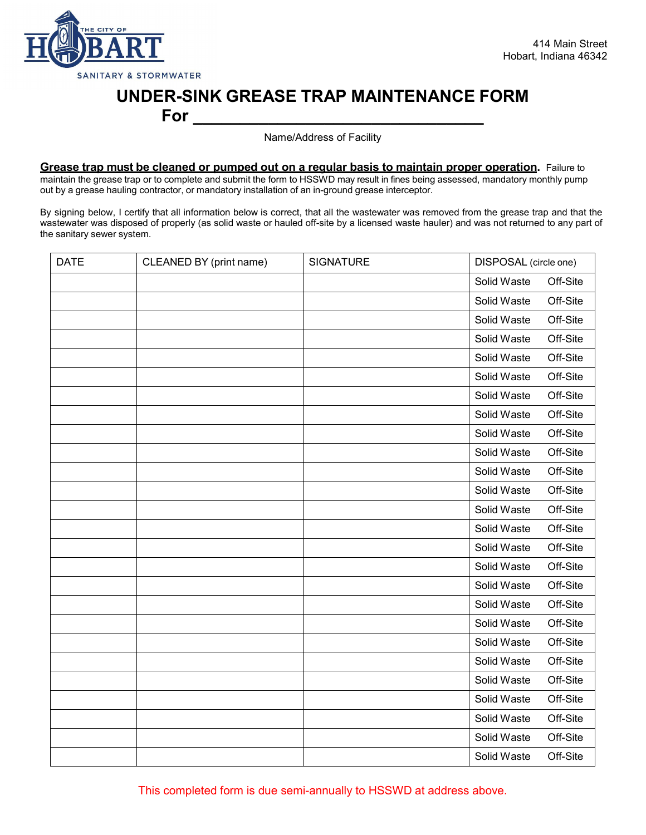

# **UNDER-SINK GREASE TRAP MAINTENANCE FORM**

**For \_\_\_\_\_\_\_\_\_\_\_\_\_\_\_\_\_\_\_\_\_\_\_\_\_\_\_\_\_\_\_**

Name/Address of Facility

**Grease trap must be cleaned or pumped out on a regular basis to maintain proper operation.** Failure to maintain the grease trap or to complete and submit the form to HSSWD may result in fines being assessed, mandatory monthly pump out by a grease hauling contractor, or mandatory installation of an in-ground grease interceptor.

By signing below, I certify that all information below is correct, that all the wastewater was removed from the grease trap and that the wastewater was disposed of properly (as solid waste or hauled off-site by a licensed waste hauler) and was not returned to any part of the sanitary sewer system.

| <b>DATE</b> | CLEANED BY (print name) | <b>SIGNATURE</b> | DISPOSAL (circle one) |          |
|-------------|-------------------------|------------------|-----------------------|----------|
|             |                         |                  | Solid Waste           | Off-Site |
|             |                         |                  | Solid Waste           | Off-Site |
|             |                         |                  | Solid Waste           | Off-Site |
|             |                         |                  | Solid Waste           | Off-Site |
|             |                         |                  | Solid Waste           | Off-Site |
|             |                         |                  | Solid Waste           | Off-Site |
|             |                         |                  | Solid Waste           | Off-Site |
|             |                         |                  | Solid Waste           | Off-Site |
|             |                         |                  | Solid Waste           | Off-Site |
|             |                         |                  | Solid Waste           | Off-Site |
|             |                         |                  | Solid Waste           | Off-Site |
|             |                         |                  | Solid Waste           | Off-Site |
|             |                         |                  | Solid Waste           | Off-Site |
|             |                         |                  | Solid Waste           | Off-Site |
|             |                         |                  | Solid Waste           | Off-Site |
|             |                         |                  | Solid Waste           | Off-Site |
|             |                         |                  | Solid Waste           | Off-Site |
|             |                         |                  | Solid Waste           | Off-Site |
|             |                         |                  | Solid Waste           | Off-Site |
|             |                         |                  | Solid Waste           | Off-Site |
|             |                         |                  | Solid Waste           | Off-Site |
|             |                         |                  | Solid Waste           | Off-Site |
|             |                         |                  | Solid Waste           | Off-Site |
|             |                         |                  | Solid Waste           | Off-Site |
|             |                         |                  | Solid Waste           | Off-Site |
|             |                         |                  | Solid Waste           | Off-Site |

This completed form is due semi-annually to HSSWD at address above.